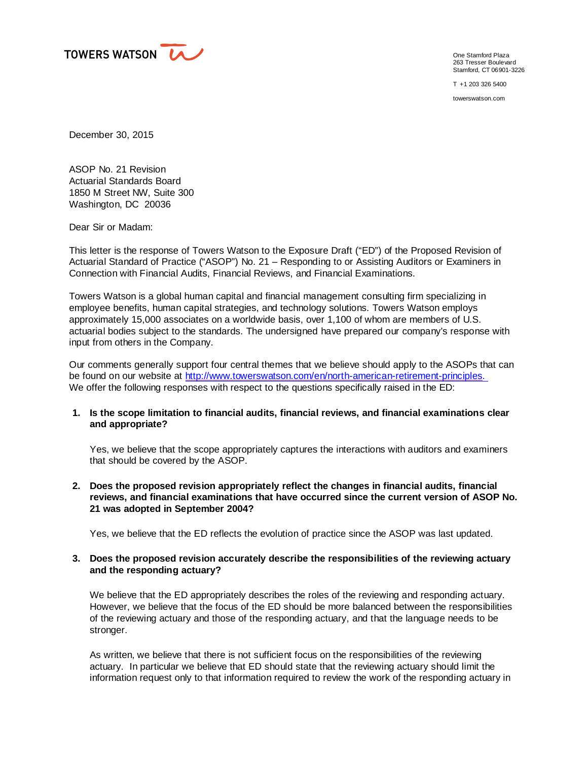

One Stamford Plaza 263 Tresser Boulevard Stamford, CT 06901-3226

T +1 203 326 5400

towerswatson.com

December 30, 2015

ASOP No. 21 Revision Actuarial Standards Board 1850 M Street NW, Suite 300 Washington, DC 20036

Dear Sir or Madam:

This letter is the response of Towers Watson to the Exposure Draft ("ED") of the Proposed Revision of Actuarial Standard of Practice ("ASOP") No. 21 – Responding to or Assisting Auditors or Examiners in Connection with Financial Audits, Financial Reviews, and Financial Examinations.

Towers Watson is a global human capital and financial management consulting firm specializing in employee benefits, human capital strategies, and technology solutions. Towers Watson employs approximately 15,000 associates on a worldwide basis, over 1,100 of whom are members of U.S. actuarial bodies subject to the standards. The undersigned have prepared our company's response with input from others in the Company.

Our comments generally support four central themes that we believe should apply to the ASOPs that can be found on our website at [http://www.towerswatson.com/en/north-american-retirement-principles.](http://www.towerswatson.com/en/north-american-retirement-principles. ) We offer the following responses with respect to the questions specifically raised in the ED:

## **1. Is the scope limitation to financial audits, financial reviews, and financial examinations clear and appropriate?**

Yes, we believe that the scope appropriately captures the interactions with auditors and examiners that should be covered by the ASOP.

**2. Does the proposed revision appropriately reflect the changes in financial audits, financial reviews, and financial examinations that have occurred since the current version of ASOP No. 21 was adopted in September 2004?**

Yes, we believe that the ED reflects the evolution of practice since the ASOP was last updated.

## **3. Does the proposed revision accurately describe the responsibilities of the reviewing actuary and the responding actuary?**

We believe that the ED appropriately describes the roles of the reviewing and responding actuary. However, we believe that the focus of the ED should be more balanced between the responsibilities of the reviewing actuary and those of the responding actuary, and that the language needs to be stronger.

As written, we believe that there is not sufficient focus on the responsibilities of the reviewing actuary. In particular we believe that ED should state that the reviewing actuary should limit the information request only to that information required to review the work of the responding actuary in